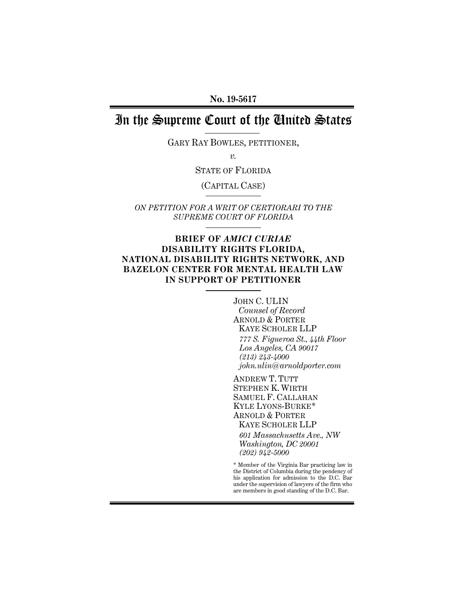**No. 19-5617** 

# In the Supreme Court of the United States

GARY RAY BOWLES, PETITIONER,

*v.* 

STATE OF FLORIDA

(CAPITAL CASE)

*ON PETITION FOR A WRIT OF CERTIORARI TO THE SUPREME COURT OF FLORIDA* 

### **BRIEF OF** *AMICI CURIAE* **DISABILITY RIGHTS FLORIDA, NATIONAL DISABILITY RIGHTS NETWORK, AND BAZELON CENTER FOR MENTAL HEALTH LAW IN SUPPORT OF PETITIONER**

JOHN C. ULIN *Counsel of Record* ARNOLD & PORTER KAYE SCHOLER LLP *777 S. Figueroa St., 44th Floor Los Angeles, CA 90017 (213) 243-4000 john.ulin@arnoldporter.com* 

ANDREW T. TUTT STEPHEN K. WIRTH SAMUEL F. CALLAHAN KYLE LYONS-BURKE\* ARNOLD & PORTER KAYE SCHOLER LLP

*601 Massachusetts Ave., NW Washington, DC 20001 (202) 942-5000* 

\* Member of the Virginia Bar practicing law in the District of Columbia during the pendency of his application for admission to the D.C. Bar under the supervision of lawyers of the firm who are members in good standing of the D.C. Bar.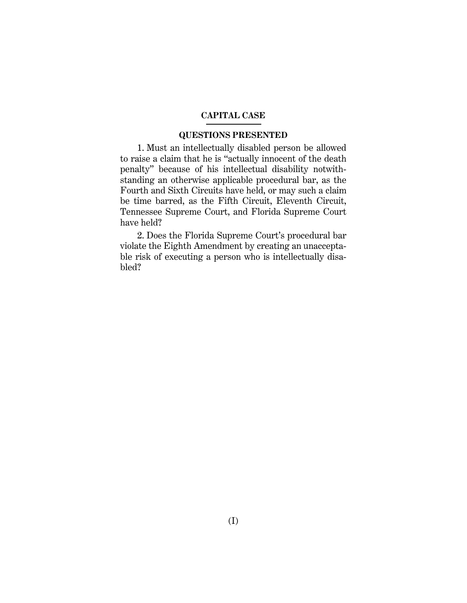#### **CAPITAL CASE**

#### **QUESTIONS PRESENTED**

1. Must an intellectually disabled person be allowed to raise a claim that he is "actually innocent of the death penalty" because of his intellectual disability notwithstanding an otherwise applicable procedural bar, as the Fourth and Sixth Circuits have held, or may such a claim be time barred, as the Fifth Circuit, Eleventh Circuit, Tennessee Supreme Court, and Florida Supreme Court have held?

2. Does the Florida Supreme Court's procedural bar violate the Eighth Amendment by creating an unacceptable risk of executing a person who is intellectually disabled?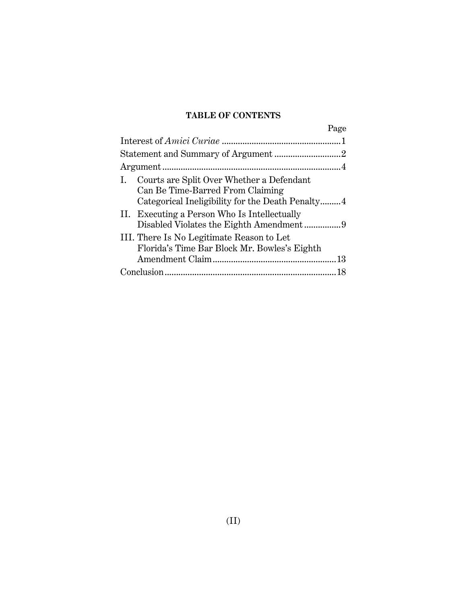# **TABLE OF CONTENTS**

| Page                                                                                                                                 |  |
|--------------------------------------------------------------------------------------------------------------------------------------|--|
|                                                                                                                                      |  |
|                                                                                                                                      |  |
|                                                                                                                                      |  |
| I. Courts are Split Over Whether a Defendant<br>Can Be Time-Barred From Claiming<br>Categorical Ineligibility for the Death Penalty4 |  |
| II. Executing a Person Who Is Intellectually                                                                                         |  |
| III. There Is No Legitimate Reason to Let<br>Florida's Time Bar Block Mr. Bowles's Eighth                                            |  |
|                                                                                                                                      |  |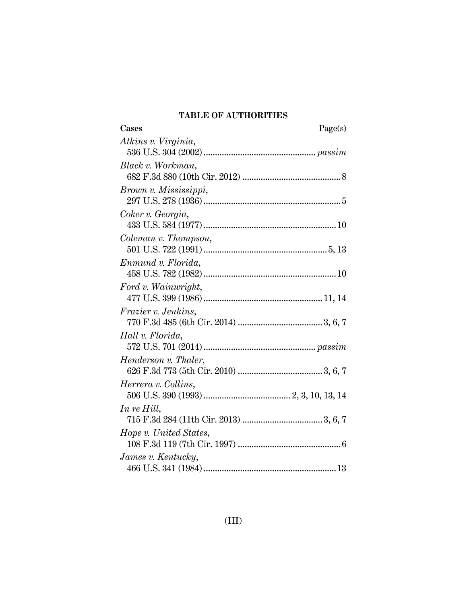# **TABLE OF AUTHORITIES**

| Cases                      | Page(s) |
|----------------------------|---------|
| Atkins v. Virginia,        |         |
|                            |         |
| Black v. Workman,          |         |
|                            |         |
| Brown v. Mississippi,      |         |
|                            |         |
| Coker v. Georgia,          |         |
|                            |         |
| Coleman v. Thompson,       |         |
|                            |         |
| Enmund v. Florida,         |         |
|                            |         |
| Ford v. Wainwright,        |         |
|                            |         |
| <i>Frazier v. Jenkins,</i> |         |
|                            |         |
| Hall v. Florida,           |         |
|                            |         |
| Henderson v. Thaler,       |         |
|                            |         |
| Herrera v. Collins,        |         |
|                            |         |
| In re Hill,                |         |
|                            |         |
| Hope v. United States,     |         |
|                            |         |
| James v. Kentucky,         |         |
|                            |         |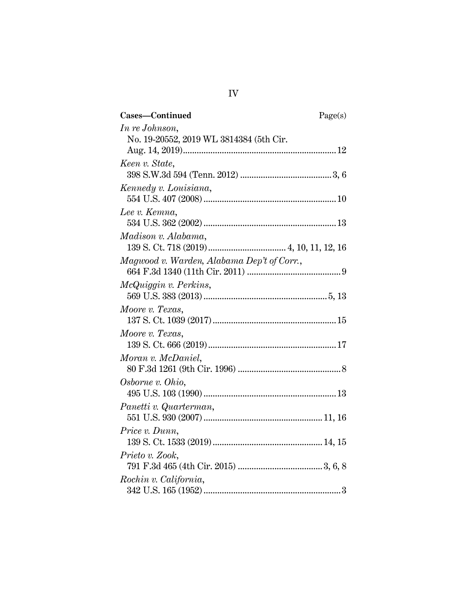| Cases-Continued                            | Page(s) |
|--------------------------------------------|---------|
| In re Johnson,                             |         |
| No. 19-20552, 2019 WL 3814384 (5th Cir.    |         |
|                                            |         |
| Keen v. State,                             |         |
|                                            |         |
| Kennedy v. Louisiana,                      |         |
|                                            |         |
| Lee v. Kemna,                              |         |
|                                            |         |
| Madison v. Alabama,                        |         |
|                                            |         |
| Magwood v. Warden, Alabama Dep't of Corr., |         |
|                                            |         |
| McQuiggin v. Perkins,                      |         |
|                                            |         |
| Moore v. Texas,                            |         |
|                                            |         |
| Moore v. Texas,                            |         |
|                                            |         |
| Moran v. McDaniel,                         |         |
|                                            |         |
| Osborne v. Ohio,                           |         |
|                                            |         |
| Panetti v. Quarterman,                     |         |
|                                            |         |
| Price v. Dunn,                             |         |
|                                            |         |
| Prieto v. Zook,                            |         |
|                                            |         |
| Rochin v. California,                      |         |
|                                            |         |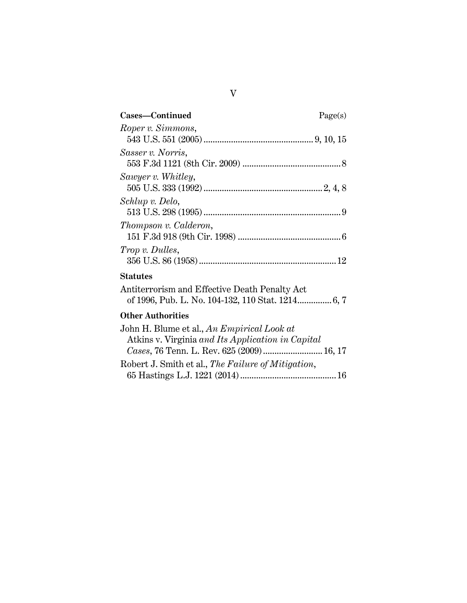| Cases-Continued<br>Page(s) |  |
|----------------------------|--|
| Roper v. Simmons,          |  |
|                            |  |
| Sasser v. Norris,          |  |
|                            |  |
| Sawyer v. Whitley,         |  |
|                            |  |
| Schlup v. Delo,            |  |
|                            |  |
| Thompson v. Calderon,      |  |
|                            |  |
| <i>Trop v. Dulles,</i>     |  |
|                            |  |

## **Statutes**

| Antiterrorism and Effective Death Penalty Act |  |  |  |
|-----------------------------------------------|--|--|--|
|                                               |  |  |  |

# **Other Authorities**

| John H. Blume et al., An Empirical Look at         |  |  |
|----------------------------------------------------|--|--|
| Atkins v. Virginia and Its Application in Capital  |  |  |
| Cases, 76 Tenn. L. Rev. 625 (2009) 16, 17          |  |  |
| Robert J. Smith et al., The Failure of Mitigation, |  |  |
|                                                    |  |  |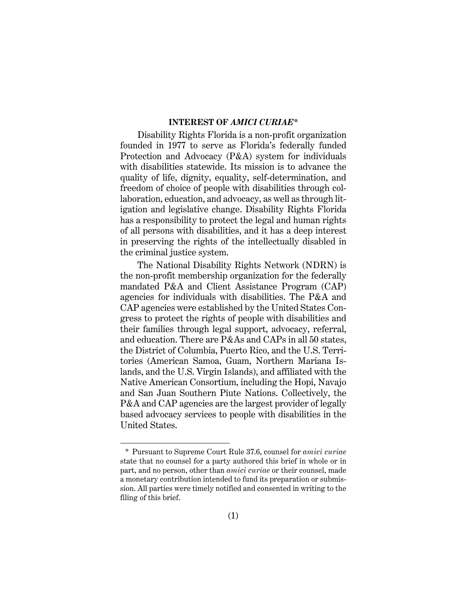#### **INTEREST OF** *AMICI CURIAE\**

Disability Rights Florida is a non-profit organization founded in 1977 to serve as Florida's federally funded Protection and Advocacy (P&A) system for individuals with disabilities statewide. Its mission is to advance the quality of life, dignity, equality, self-determination, and freedom of choice of people with disabilities through collaboration, education, and advocacy, as well as through litigation and legislative change. Disability Rights Florida has a responsibility to protect the legal and human rights of all persons with disabilities, and it has a deep interest in preserving the rights of the intellectually disabled in the criminal justice system.

The National Disability Rights Network (NDRN) is the non-profit membership organization for the federally mandated P&A and Client Assistance Program (CAP) agencies for individuals with disabilities. The P&A and CAP agencies were established by the United States Congress to protect the rights of people with disabilities and their families through legal support, advocacy, referral, and education. There are P&As and CAPs in all 50 states, the District of Columbia, Puerto Rico, and the U.S. Territories (American Samoa, Guam, Northern Mariana Islands, and the U.S. Virgin Islands), and affiliated with the Native American Consortium, including the Hopi, Navajo and San Juan Southern Piute Nations. Collectively, the P&A and CAP agencies are the largest provider of legally based advocacy services to people with disabilities in the United States.

<sup>\*</sup> Pursuant to Supreme Court Rule 37.6, counsel for *amici curiae*  state that no counsel for a party authored this brief in whole or in part, and no person, other than *amici curiae* or their counsel, made a monetary contribution intended to fund its preparation or submission. All parties were timely notified and consented in writing to the filing of this brief.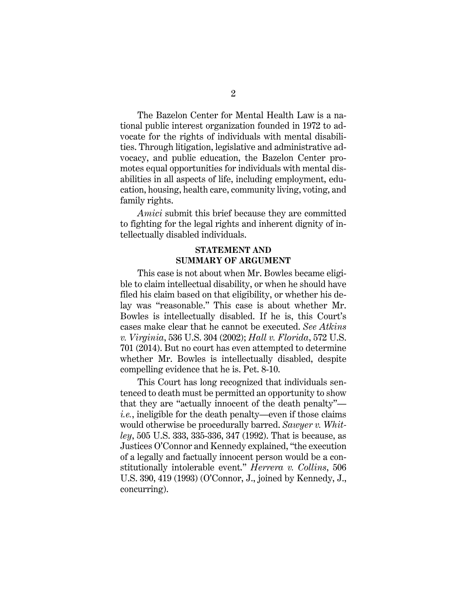The Bazelon Center for Mental Health Law is a national public interest organization founded in 1972 to advocate for the rights of individuals with mental disabilities. Through litigation, legislative and administrative advocacy, and public education, the Bazelon Center promotes equal opportunities for individuals with mental disabilities in all aspects of life, including employment, education, housing, health care, community living, voting, and family rights.

*Amici* submit this brief because they are committed to fighting for the legal rights and inherent dignity of intellectually disabled individuals.

### **STATEMENT AND SUMMARY OF ARGUMENT**

This case is not about when Mr. Bowles became eligible to claim intellectual disability, or when he should have filed his claim based on that eligibility, or whether his delay was "reasonable." This case is about whether Mr. Bowles is intellectually disabled. If he is, this Court's cases make clear that he cannot be executed. *See Atkins v. Virginia*, 536 U.S. 304 (2002); *Hall v. Florida*, 572 U.S. 701 (2014). But no court has even attempted to determine whether Mr. Bowles is intellectually disabled, despite compelling evidence that he is. Pet. 8-10.

This Court has long recognized that individuals sentenced to death must be permitted an opportunity to show that they are "actually innocent of the death penalty" *i.e.*, ineligible for the death penalty—even if those claims would otherwise be procedurally barred. *Sawyer v. Whitley*, 505 U.S. 333, 335-336, 347 (1992). That is because, as Justices O'Connor and Kennedy explained, "the execution of a legally and factually innocent person would be a constitutionally intolerable event." *Herrera v. Collins*, 506 U.S. 390, 419 (1993) (O'Connor, J., joined by Kennedy, J., concurring).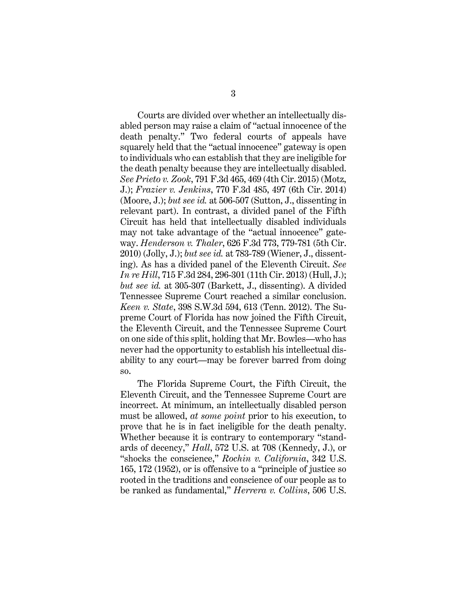Courts are divided over whether an intellectually disabled person may raise a claim of "actual innocence of the death penalty." Two federal courts of appeals have squarely held that the "actual innocence" gateway is open to individuals who can establish that they are ineligible for the death penalty because they are intellectually disabled. *See Prieto v. Zook*, 791 F.3d 465, 469 (4th Cir. 2015) (Motz, J.); *Frazier v. Jenkins*, 770 F.3d 485, 497 (6th Cir. 2014) (Moore, J.); *but see id.* at 506-507 (Sutton, J., dissenting in relevant part). In contrast, a divided panel of the Fifth Circuit has held that intellectually disabled individuals may not take advantage of the "actual innocence" gateway. *Henderson v. Thaler*, 626 F.3d 773, 779-781 (5th Cir. 2010) (Jolly, J.); *but see id.* at 783-789 (Wiener, J., dissenting). As has a divided panel of the Eleventh Circuit. *See In re Hill*, 715 F.3d 284, 296-301 (11th Cir. 2013) (Hull, J.); *but see id.* at 305-307 (Barkett, J., dissenting). A divided Tennessee Supreme Court reached a similar conclusion. *Keen v. State*, 398 S.W.3d 594, 613 (Tenn. 2012). The Supreme Court of Florida has now joined the Fifth Circuit, the Eleventh Circuit, and the Tennessee Supreme Court on one side of this split, holding that Mr. Bowles—who has never had the opportunity to establish his intellectual disability to any court—may be forever barred from doing so.

The Florida Supreme Court, the Fifth Circuit, the Eleventh Circuit, and the Tennessee Supreme Court are incorrect. At minimum, an intellectually disabled person must be allowed, *at some point* prior to his execution, to prove that he is in fact ineligible for the death penalty. Whether because it is contrary to contemporary "standards of decency," *Hall*, 572 U.S. at 708 (Kennedy, J.), or "shocks the conscience," *Rochin v. California*, 342 U.S. 165, 172 (1952), or is offensive to a "principle of justice so rooted in the traditions and conscience of our people as to be ranked as fundamental," *Herrera v. Collins*, 506 U.S.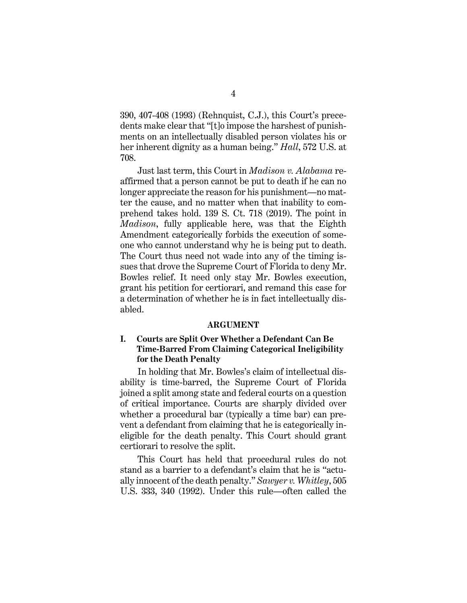390, 407-408 (1993) (Rehnquist, C.J.), this Court's precedents make clear that "[t]o impose the harshest of punishments on an intellectually disabled person violates his or her inherent dignity as a human being." *Hall*, 572 U.S. at 708.

Just last term, this Court in *Madison v. Alabama* reaffirmed that a person cannot be put to death if he can no longer appreciate the reason for his punishment—no matter the cause, and no matter when that inability to comprehend takes hold. 139 S. Ct. 718 (2019). The point in *Madison*, fully applicable here, was that the Eighth Amendment categorically forbids the execution of someone who cannot understand why he is being put to death. The Court thus need not wade into any of the timing issues that drove the Supreme Court of Florida to deny Mr. Bowles relief. It need only stay Mr. Bowles execution, grant his petition for certiorari, and remand this case for a determination of whether he is in fact intellectually disabled.

#### **ARGUMENT**

### **I. Courts are Split Over Whether a Defendant Can Be Time-Barred From Claiming Categorical Ineligibility for the Death Penalty**

In holding that Mr. Bowles's claim of intellectual disability is time-barred, the Supreme Court of Florida joined a split among state and federal courts on a question of critical importance. Courts are sharply divided over whether a procedural bar (typically a time bar) can prevent a defendant from claiming that he is categorically ineligible for the death penalty. This Court should grant certiorari to resolve the split.

This Court has held that procedural rules do not stand as a barrier to a defendant's claim that he is "actually innocent of the death penalty." *Sawyer v. Whitley*, 505 U.S. 333, 340 (1992). Under this rule—often called the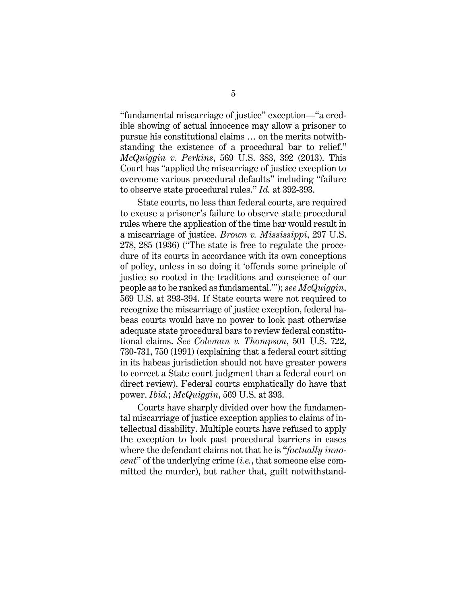"fundamental miscarriage of justice" exception—"a credible showing of actual innocence may allow a prisoner to pursue his constitutional claims … on the merits notwithstanding the existence of a procedural bar to relief." *McQuiggin v. Perkins*, 569 U.S. 383, 392 (2013). This Court has "applied the miscarriage of justice exception to overcome various procedural defaults" including "failure to observe state procedural rules." *Id.* at 392-393.

State courts, no less than federal courts, are required to excuse a prisoner's failure to observe state procedural rules where the application of the time bar would result in a miscarriage of justice. *Brown v. Mississippi*, 297 U.S. 278, 285 (1936) ("The state is free to regulate the procedure of its courts in accordance with its own conceptions of policy, unless in so doing it 'offends some principle of justice so rooted in the traditions and conscience of our people as to be ranked as fundamental.'"); *see McQuiggin*, 569 U.S. at 393-394. If State courts were not required to recognize the miscarriage of justice exception, federal habeas courts would have no power to look past otherwise adequate state procedural bars to review federal constitutional claims. *See Coleman v. Thompson*, 501 U.S. 722, 730-731, 750 (1991) (explaining that a federal court sitting in its habeas jurisdiction should not have greater powers to correct a State court judgment than a federal court on direct review). Federal courts emphatically do have that power. *Ibid.*; *McQuiggin*, 569 U.S. at 393.

Courts have sharply divided over how the fundamental miscarriage of justice exception applies to claims of intellectual disability. Multiple courts have refused to apply the exception to look past procedural barriers in cases where the defendant claims not that he is "*factually innocent*" of the underlying crime (*i.e.*, that someone else committed the murder), but rather that, guilt notwithstand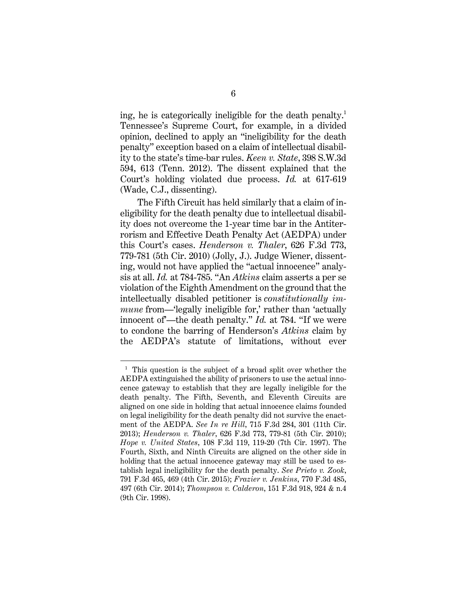ing, he is categorically ineligible for the death penalty.<sup>1</sup> Tennessee's Supreme Court, for example, in a divided opinion, declined to apply an "ineligibility for the death penalty" exception based on a claim of intellectual disability to the state's time-bar rules. *Keen v. State*, 398 S.W.3d 594, 613 (Tenn. 2012). The dissent explained that the Court's holding violated due process. *Id.* at 617-619 (Wade, C.J., dissenting).

The Fifth Circuit has held similarly that a claim of ineligibility for the death penalty due to intellectual disability does not overcome the 1-year time bar in the Antiterrorism and Effective Death Penalty Act (AEDPA) under this Court's cases. *Henderson v. Thaler*, 626 F.3d 773, 779-781 (5th Cir. 2010) (Jolly, J.). Judge Wiener, dissenting, would not have applied the "actual innocence" analysis at all. *Id.* at 784-785. "An *Atkins* claim asserts a per se violation of the Eighth Amendment on the ground that the intellectually disabled petitioner is *constitutionally immune* from—'legally ineligible for,' rather than 'actually innocent of'—the death penalty." *Id.* at 784. "If we were to condone the barring of Henderson's *Atkins* claim by the AEDPA's statute of limitations, without ever

<sup>&</sup>lt;sup>1</sup> This question is the subject of a broad split over whether the AEDPA extinguished the ability of prisoners to use the actual innocence gateway to establish that they are legally ineligible for the death penalty. The Fifth, Seventh, and Eleventh Circuits are aligned on one side in holding that actual innocence claims founded on legal ineligibility for the death penalty did not survive the enactment of the AEDPA. *See In re Hill*, 715 F.3d 284, 301 (11th Cir. 2013); *Henderson v. Thaler*, 626 F.3d 773, 779-81 (5th Cir. 2010); *Hope v. United States*, 108 F.3d 119, 119-20 (7th Cir. 1997). The Fourth, Sixth, and Ninth Circuits are aligned on the other side in holding that the actual innocence gateway may still be used to establish legal ineligibility for the death penalty. *See Prieto v. Zook*, 791 F.3d 465, 469 (4th Cir. 2015); *Frazier v. Jenkins*, 770 F.3d 485, 497 (6th Cir. 2014); *Thompson v. Calderon*, 151 F.3d 918, 924 & n.4 (9th Cir. 1998).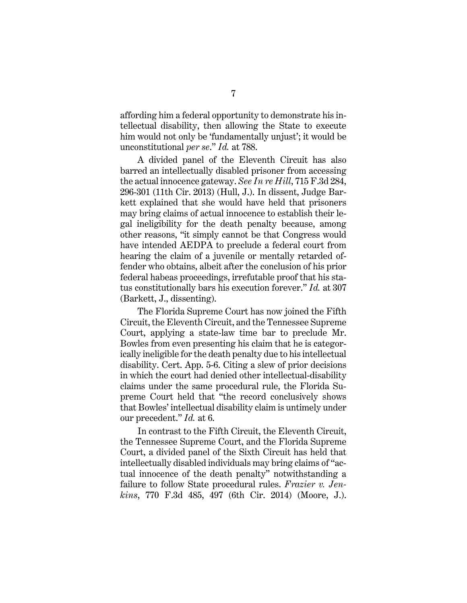affording him a federal opportunity to demonstrate his intellectual disability, then allowing the State to execute him would not only be 'fundamentally unjust'; it would be unconstitutional *per se*." *Id.* at 788.

A divided panel of the Eleventh Circuit has also barred an intellectually disabled prisoner from accessing the actual innocence gateway. *See In re Hill*, 715 F.3d 284, 296-301 (11th Cir. 2013) (Hull, J.). In dissent, Judge Barkett explained that she would have held that prisoners may bring claims of actual innocence to establish their legal ineligibility for the death penalty because, among other reasons, "it simply cannot be that Congress would have intended AEDPA to preclude a federal court from hearing the claim of a juvenile or mentally retarded offender who obtains, albeit after the conclusion of his prior federal habeas proceedings, irrefutable proof that his status constitutionally bars his execution forever." *Id.* at 307 (Barkett, J., dissenting).

The Florida Supreme Court has now joined the Fifth Circuit, the Eleventh Circuit, and the Tennessee Supreme Court, applying a state-law time bar to preclude Mr. Bowles from even presenting his claim that he is categorically ineligible for the death penalty due to his intellectual disability. Cert. App. 5-6. Citing a slew of prior decisions in which the court had denied other intellectual-disability claims under the same procedural rule, the Florida Supreme Court held that "the record conclusively shows that Bowles' intellectual disability claim is untimely under our precedent." *Id.* at 6.

In contrast to the Fifth Circuit, the Eleventh Circuit, the Tennessee Supreme Court, and the Florida Supreme Court, a divided panel of the Sixth Circuit has held that intellectually disabled individuals may bring claims of "actual innocence of the death penalty" notwithstanding a failure to follow State procedural rules. *Frazier v. Jenkins*, 770 F.3d 485, 497 (6th Cir. 2014) (Moore, J.).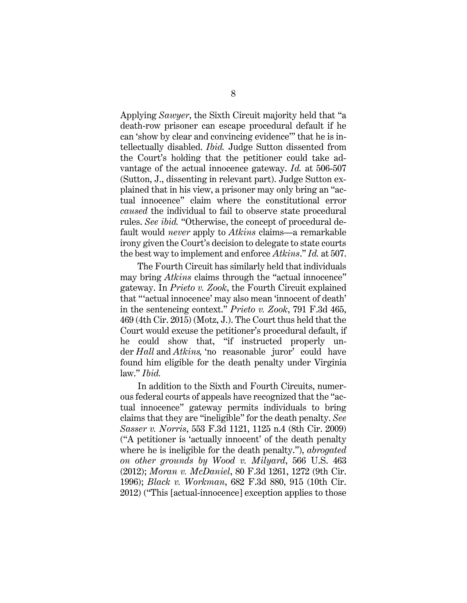Applying *Sawyer*, the Sixth Circuit majority held that "a death-row prisoner can escape procedural default if he can 'show by clear and convincing evidence'" that he is intellectually disabled. *Ibid.* Judge Sutton dissented from the Court's holding that the petitioner could take advantage of the actual innocence gateway. *Id.* at 506-507 (Sutton, J., dissenting in relevant part). Judge Sutton explained that in his view, a prisoner may only bring an "actual innocence" claim where the constitutional error *caused* the individual to fail to observe state procedural rules. *See ibid.* "Otherwise, the concept of procedural default would *never* apply to *Atkins* claims—a remarkable irony given the Court's decision to delegate to state courts the best way to implement and enforce *Atkins*." *Id.* at 507.

The Fourth Circuit has similarly held that individuals may bring *Atkins* claims through the "actual innocence" gateway. In *Prieto v. Zook*, the Fourth Circuit explained that "'actual innocence' may also mean 'innocent of death' in the sentencing context." *Prieto v. Zook*, 791 F.3d 465, 469 (4th Cir. 2015) (Motz, J.). The Court thus held that the Court would excuse the petitioner's procedural default, if he could show that, "if instructed properly under *Hall* and *Atkins,* 'no reasonable juror' could have found him eligible for the death penalty under Virginia law." *Ibid.* 

In addition to the Sixth and Fourth Circuits, numerous federal courts of appeals have recognized that the "actual innocence" gateway permits individuals to bring claims that they are "ineligible" for the death penalty. *See Sasser v. Norris*, 553 F.3d 1121, 1125 n.4 (8th Cir. 2009) ("A petitioner is 'actually innocent' of the death penalty where he is ineligible for the death penalty."), *abrogated on other grounds by Wood v. Milyard*, 566 U.S. 463 (2012); *Moran v. McDaniel*, 80 F.3d 1261, 1272 (9th Cir. 1996); *Black v. Workman*, 682 F.3d 880, 915 (10th Cir. 2012) ("This [actual-innocence] exception applies to those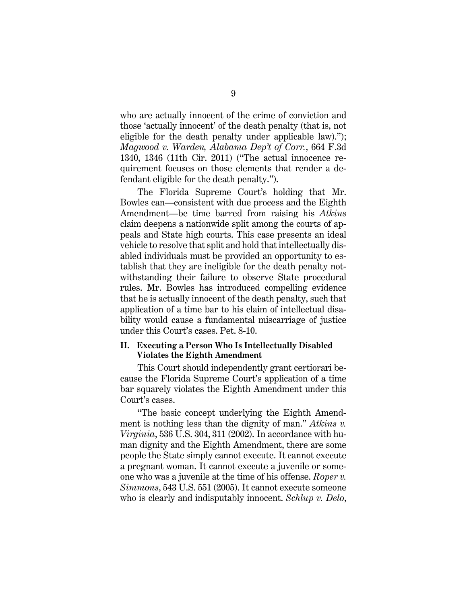who are actually innocent of the crime of conviction and those 'actually innocent' of the death penalty (that is, not eligible for the death penalty under applicable law)."); *Magwood v. Warden, Alabama Dep't of Corr.*, 664 F.3d 1340, 1346 (11th Cir. 2011) ("The actual innocence requirement focuses on those elements that render a defendant eligible for the death penalty.").

The Florida Supreme Court's holding that Mr. Bowles can—consistent with due process and the Eighth Amendment—be time barred from raising his *Atkins* claim deepens a nationwide split among the courts of appeals and State high courts. This case presents an ideal vehicle to resolve that split and hold that intellectually disabled individuals must be provided an opportunity to establish that they are ineligible for the death penalty notwithstanding their failure to observe State procedural rules. Mr. Bowles has introduced compelling evidence that he is actually innocent of the death penalty, such that application of a time bar to his claim of intellectual disability would cause a fundamental miscarriage of justice under this Court's cases. Pet. 8-10.

#### **II. Executing a Person Who Is Intellectually Disabled Violates the Eighth Amendment**

This Court should independently grant certiorari because the Florida Supreme Court's application of a time bar squarely violates the Eighth Amendment under this Court's cases.

"The basic concept underlying the Eighth Amendment is nothing less than the dignity of man." *Atkins v. Virginia*, 536 U.S. 304, 311 (2002). In accordance with human dignity and the Eighth Amendment, there are some people the State simply cannot execute. It cannot execute a pregnant woman. It cannot execute a juvenile or someone who was a juvenile at the time of his offense. *Roper v. Simmons*, 543 U.S. 551 (2005). It cannot execute someone who is clearly and indisputably innocent. *Schlup v. Delo*,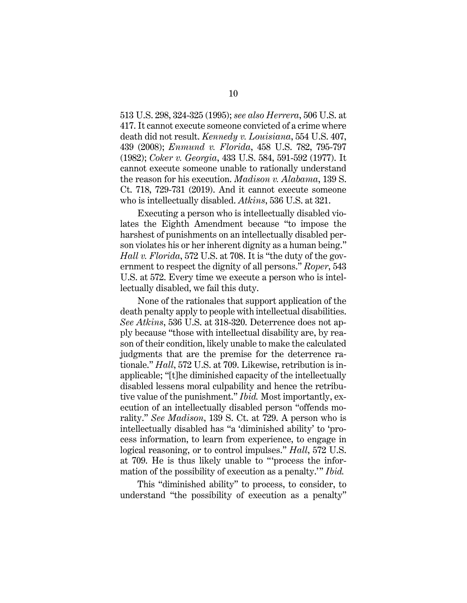513 U.S. 298, 324-325 (1995); *see also Herrera*, 506 U.S. at 417. It cannot execute someone convicted of a crime where death did not result. *Kennedy v. Louisiana*, 554 U.S. 407, 439 (2008); *Enmund v. Florida*, 458 U.S. 782, 795-797 (1982); *Coker v. Georgia*, 433 U.S. 584, 591-592 (1977). It cannot execute someone unable to rationally understand the reason for his execution. *Madison v. Alabama*, 139 S. Ct. 718, 729-731 (2019). And it cannot execute someone who is intellectually disabled. *Atkins*, 536 U.S. at 321.

Executing a person who is intellectually disabled violates the Eighth Amendment because "to impose the harshest of punishments on an intellectually disabled person violates his or her inherent dignity as a human being." *Hall v. Florida*, 572 U.S. at 708. It is "the duty of the government to respect the dignity of all persons." *Roper*, 543 U.S. at 572. Every time we execute a person who is intellectually disabled, we fail this duty.

None of the rationales that support application of the death penalty apply to people with intellectual disabilities. *See Atkins*, 536 U.S. at 318-320. Deterrence does not apply because "those with intellectual disability are, by reason of their condition, likely unable to make the calculated judgments that are the premise for the deterrence rationale." *Hall*, 572 U.S. at 709. Likewise, retribution is inapplicable; "[t]he diminished capacity of the intellectually disabled lessens moral culpability and hence the retributive value of the punishment." *Ibid.* Most importantly, execution of an intellectually disabled person "offends morality." *See Madison*, 139 S. Ct. at 729. A person who is intellectually disabled has "a 'diminished ability' to 'process information, to learn from experience, to engage in logical reasoning, or to control impulses." *Hall*, 572 U.S. at 709. He is thus likely unable to "'process the information of the possibility of execution as a penalty.'" *Ibid.*

This "diminished ability" to process, to consider, to understand "the possibility of execution as a penalty"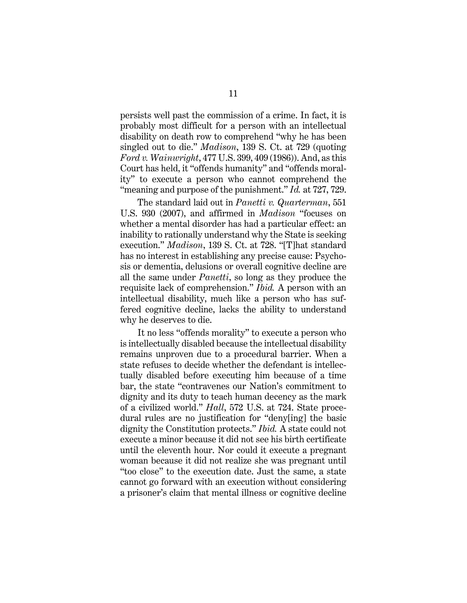persists well past the commission of a crime. In fact, it is probably most difficult for a person with an intellectual disability on death row to comprehend "why he has been singled out to die." *Madison*, 139 S. Ct. at 729 (quoting *Ford v. Wainwright*, 477 U.S. 399, 409 (1986)). And, as this Court has held, it "offends humanity" and "offends morality" to execute a person who cannot comprehend the "meaning and purpose of the punishment." *Id.* at 727, 729.

The standard laid out in *Panetti v. Quarterman*, 551 U.S. 930 (2007), and affirmed in *Madison* "focuses on whether a mental disorder has had a particular effect: an inability to rationally understand why the State is seeking execution." *Madison*, 139 S. Ct. at 728. "[T]hat standard has no interest in establishing any precise cause: Psychosis or dementia, delusions or overall cognitive decline are all the same under *Panetti*, so long as they produce the requisite lack of comprehension." *Ibid.* A person with an intellectual disability, much like a person who has suffered cognitive decline, lacks the ability to understand why he deserves to die.

It no less "offends morality" to execute a person who is intellectually disabled because the intellectual disability remains unproven due to a procedural barrier. When a state refuses to decide whether the defendant is intellectually disabled before executing him because of a time bar, the state "contravenes our Nation's commitment to dignity and its duty to teach human decency as the mark of a civilized world." *Hall*, 572 U.S. at 724. State procedural rules are no justification for "deny[ing] the basic dignity the Constitution protects." *Ibid.* A state could not execute a minor because it did not see his birth certificate until the eleventh hour. Nor could it execute a pregnant woman because it did not realize she was pregnant until "too close" to the execution date. Just the same, a state cannot go forward with an execution without considering a prisoner's claim that mental illness or cognitive decline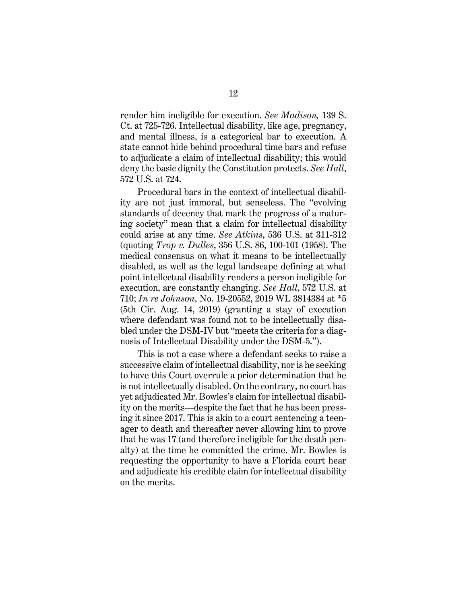render him ineligible for execution. *See Madison,* 139 S. Ct. at 725-726. Intellectual disability, like age, pregnancy, and mental illness, is a categorical bar to execution. A state cannot hide behind procedural time bars and refuse to adjudicate a claim of intellectual disability; this would deny the basic dignity the Constitution protects. *See Hall*, 572 U.S. at 724.

Procedural bars in the context of intellectual disability are not just immoral, but senseless. The "evolving standards of decency that mark the progress of a maturing society" mean that a claim for intellectual disability could arise at any time. *See Atkins*, 536 U.S. at 311-312 (quoting *Trop v. Dulles*, 356 U.S. 86, 100-101 (1958). The medical consensus on what it means to be intellectually disabled, as well as the legal landscape defining at what point intellectual disability renders a person ineligible for execution, are constantly changing. *See Hall*, 572 U.S. at 710; *In re Johnson*, No. 19-20552, 2019 WL 3814384 at \*5 (5th Cir. Aug. 14, 2019) (granting a stay of execution where defendant was found not to be intellectually disabled under the DSM-IV but "meets the criteria for a diagnosis of Intellectual Disability under the DSM-5.").

This is not a case where a defendant seeks to raise a successive claim of intellectual disability, nor is he seeking to have this Court overrule a prior determination that he is not intellectually disabled. On the contrary, no court has yet adjudicated Mr. Bowles's claim for intellectual disability on the merits—despite the fact that he has been pressing it since 2017. This is akin to a court sentencing a teenager to death and thereafter never allowing him to prove that he was 17 (and therefore ineligible for the death penalty) at the time he committed the crime. Mr. Bowles is requesting the opportunity to have a Florida court hear and adjudicate his credible claim for intellectual disability on the merits.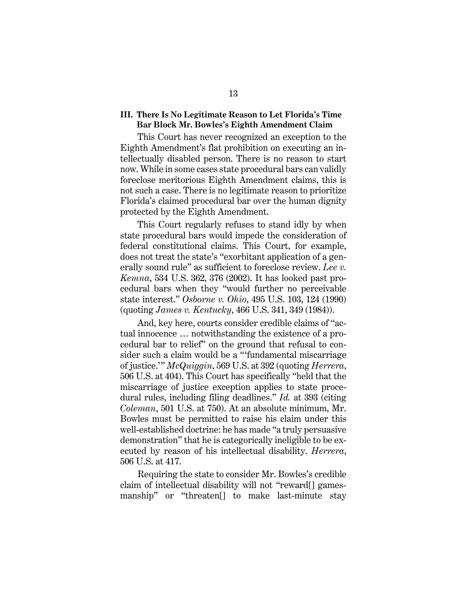#### **III. There Is No Legitimate Reason to Let Florida's Time Bar Block Mr. Bowles's Eighth Amendment Claim**

This Court has never recognized an exception to the Eighth Amendment's flat prohibition on executing an intellectually disabled person. There is no reason to start now. While in some cases state procedural bars can validly foreclose meritorious Eighth Amendment claims, this is not such a case. There is no legitimate reason to prioritize Florida's claimed procedural bar over the human dignity protected by the Eighth Amendment.

This Court regularly refuses to stand idly by when state procedural bars would impede the consideration of federal constitutional claims. This Court, for example, does not treat the state's "exorbitant application of a generally sound rule" as sufficient to foreclose review. *Lee v. Kemna*, 534 U.S. 362, 376 (2002). It has looked past procedural bars when they "would further no perceivable state interest." *Osborne v. Ohio*, 495 U.S. 103, 124 (1990) (quoting *James v. Kentucky*, 466 U.S. 341, 349 (1984)).

And, key here, courts consider credible claims of "actual innocence … notwithstanding the existence of a procedural bar to relief" on the ground that refusal to consider such a claim would be a "'fundamental miscarriage of justice.'" *McQuiggin*, 569 U.S. at 392 (quoting *Herrera*, 506 U.S. at 404). This Court has specifically "held that the miscarriage of justice exception applies to state procedural rules, including filing deadlines." *Id.* at 393 (citing *Coleman*, 501 U.S. at 750). At an absolute minimum, Mr. Bowles must be permitted to raise his claim under this well-established doctrine: he has made "a truly persuasive demonstration" that he is categorically ineligible to be executed by reason of his intellectual disability. *Herrera*, 506 U.S. at 417.

Requiring the state to consider Mr. Bowles's credible claim of intellectual disability will not "reward[] gamesmanship" or "threaten[] to make last-minute stay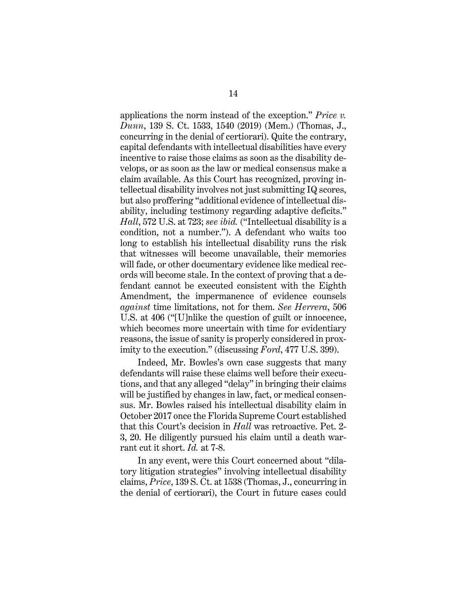applications the norm instead of the exception." *Price v. Dunn*, 139 S. Ct. 1533, 1540 (2019) (Mem.) (Thomas, J., concurring in the denial of certiorari). Quite the contrary, capital defendants with intellectual disabilities have every incentive to raise those claims as soon as the disability develops, or as soon as the law or medical consensus make a claim available. As this Court has recognized, proving intellectual disability involves not just submitting IQ scores, but also proffering "additional evidence of intellectual disability, including testimony regarding adaptive deficits." *Hall*, 572 U.S. at 723; *see ibid.* ("Intellectual disability is a condition, not a number."). A defendant who waits too long to establish his intellectual disability runs the risk that witnesses will become unavailable, their memories will fade, or other documentary evidence like medical records will become stale. In the context of proving that a defendant cannot be executed consistent with the Eighth Amendment, the impermanence of evidence counsels *against* time limitations, not for them. *See Herrera*, 506 U.S. at 406 ("[U]nlike the question of guilt or innocence, which becomes more uncertain with time for evidentiary reasons, the issue of sanity is properly considered in proximity to the execution." (discussing *Ford*, 477 U.S. 399).

Indeed, Mr. Bowles's own case suggests that many defendants will raise these claims well before their executions, and that any alleged "delay" in bringing their claims will be justified by changes in law, fact, or medical consensus. Mr. Bowles raised his intellectual disability claim in October 2017 once the Florida Supreme Court established that this Court's decision in *Hall* was retroactive. Pet. 2- 3, 20. He diligently pursued his claim until a death warrant cut it short. *Id.* at 7-8.

In any event, were this Court concerned about "dilatory litigation strategies" involving intellectual disability claims, *Price*, 139 S. Ct. at 1538 (Thomas, J., concurring in the denial of certiorari), the Court in future cases could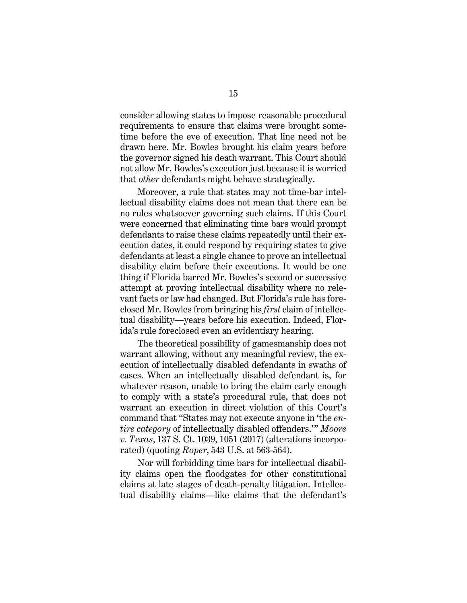consider allowing states to impose reasonable procedural requirements to ensure that claims were brought sometime before the eve of execution. That line need not be drawn here. Mr. Bowles brought his claim years before the governor signed his death warrant. This Court should not allow Mr. Bowles's execution just because it is worried that *other* defendants might behave strategically.

Moreover, a rule that states may not time-bar intellectual disability claims does not mean that there can be no rules whatsoever governing such claims. If this Court were concerned that eliminating time bars would prompt defendants to raise these claims repeatedly until their execution dates, it could respond by requiring states to give defendants at least a single chance to prove an intellectual disability claim before their executions. It would be one thing if Florida barred Mr. Bowles's second or successive attempt at proving intellectual disability where no relevant facts or law had changed. But Florida's rule has foreclosed Mr. Bowles from bringing his *first* claim of intellectual disability—years before his execution. Indeed, Florida's rule foreclosed even an evidentiary hearing.

The theoretical possibility of gamesmanship does not warrant allowing, without any meaningful review, the execution of intellectually disabled defendants in swaths of cases. When an intellectually disabled defendant is, for whatever reason, unable to bring the claim early enough to comply with a state's procedural rule, that does not warrant an execution in direct violation of this Court's command that "States may not execute anyone in 'the *entire category* of intellectually disabled offenders.'" *Moore v. Texas*, 137 S. Ct. 1039, 1051 (2017) (alterations incorporated) (quoting *Roper*, 543 U.S. at 563-564).

Nor will forbidding time bars for intellectual disability claims open the floodgates for other constitutional claims at late stages of death-penalty litigation. Intellectual disability claims—like claims that the defendant's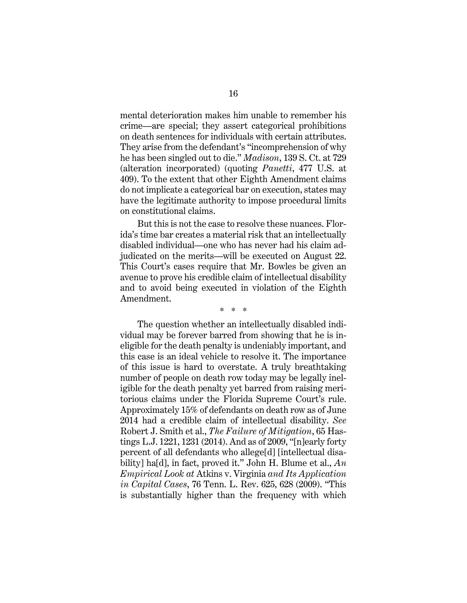mental deterioration makes him unable to remember his crime—are special; they assert categorical prohibitions on death sentences for individuals with certain attributes. They arise from the defendant's "incomprehension of why he has been singled out to die." *Madison*, 139 S. Ct. at 729 (alteration incorporated) (quoting *Panetti*, 477 U.S. at 409). To the extent that other Eighth Amendment claims do not implicate a categorical bar on execution, states may have the legitimate authority to impose procedural limits on constitutional claims.

But this is not the case to resolve these nuances. Florida's time bar creates a material risk that an intellectually disabled individual—one who has never had his claim adjudicated on the merits—will be executed on August 22. This Court's cases require that Mr. Bowles be given an avenue to prove his credible claim of intellectual disability and to avoid being executed in violation of the Eighth Amendment.

\* \* \*

The question whether an intellectually disabled individual may be forever barred from showing that he is ineligible for the death penalty is undeniably important, and this case is an ideal vehicle to resolve it. The importance of this issue is hard to overstate. A truly breathtaking number of people on death row today may be legally ineligible for the death penalty yet barred from raising meritorious claims under the Florida Supreme Court's rule. Approximately 15% of defendants on death row as of June 2014 had a credible claim of intellectual disability. *See*  Robert J. Smith et al., *The Failure of Mitigation*, 65 Hastings L.J. 1221, 1231 (2014). And as of 2009, "[n]early forty percent of all defendants who allege[d] [intellectual disability] ha[d], in fact, proved it." John H. Blume et al., *An Empirical Look at* Atkins v. Virginia *and Its Application in Capital Cases*, 76 Tenn. L. Rev. 625, 628 (2009). "This is substantially higher than the frequency with which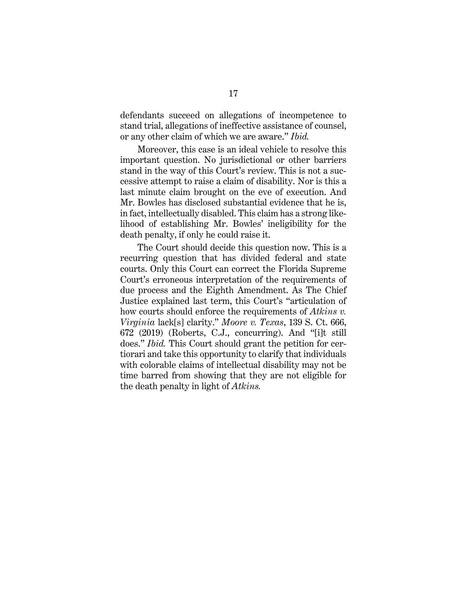defendants succeed on allegations of incompetence to stand trial, allegations of ineffective assistance of counsel, or any other claim of which we are aware." *Ibid.* 

Moreover, this case is an ideal vehicle to resolve this important question. No jurisdictional or other barriers stand in the way of this Court's review. This is not a successive attempt to raise a claim of disability. Nor is this a last minute claim brought on the eve of execution. And Mr. Bowles has disclosed substantial evidence that he is, in fact, intellectually disabled. This claim has a strong likelihood of establishing Mr. Bowles' ineligibility for the death penalty, if only he could raise it.

The Court should decide this question now. This is a recurring question that has divided federal and state courts. Only this Court can correct the Florida Supreme Court's erroneous interpretation of the requirements of due process and the Eighth Amendment. As The Chief Justice explained last term, this Court's "articulation of how courts should enforce the requirements of *Atkins v. Virginia* lack[s] clarity." *Moore v. Texas*, 139 S. Ct. 666, 672 (2019) (Roberts, C.J., concurring). And "[i]t still does." *Ibid.* This Court should grant the petition for certiorari and take this opportunity to clarify that individuals with colorable claims of intellectual disability may not be time barred from showing that they are not eligible for the death penalty in light of *Atkins.*